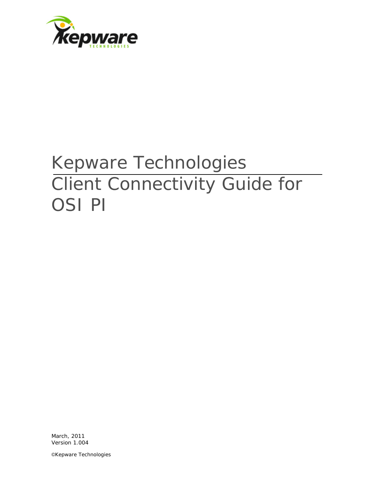

# Kepware Technologies Client Connectivity Guide for OSI PI

March, 2011 Version 1.004

©Kepware Technologies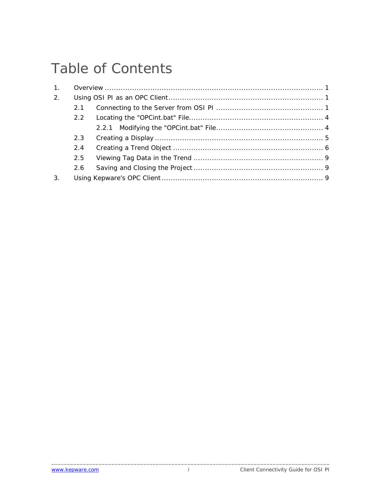## Table of Contents

| 1. |     |  |  |  |  |
|----|-----|--|--|--|--|
| 2. |     |  |  |  |  |
|    | 2.1 |  |  |  |  |
|    | 2.2 |  |  |  |  |
|    |     |  |  |  |  |
|    | 2.3 |  |  |  |  |
|    | 2.4 |  |  |  |  |
|    | 2.5 |  |  |  |  |
|    | 2.6 |  |  |  |  |
| 3. |     |  |  |  |  |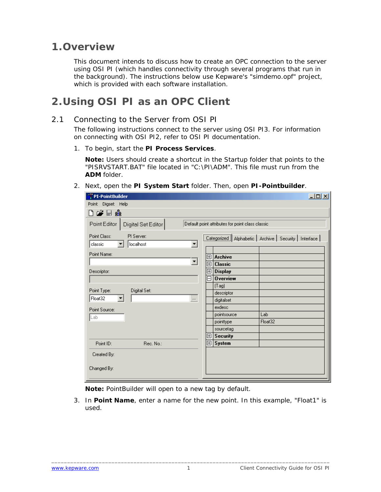### <span id="page-2-0"></span>**1.Overview**

This document intends to discuss how to create an OPC connection to the server using OSI PI (which handles connectivity through several programs that run in the background). The instructions below use Kepware's "simdemo.opf" project, which is provided with each software installation.

## **2.Using OSI PI as an OPC Client**

#### 2.1 Connecting to the Server from OSI PI

The following instructions connect to the server using OSI PI3. For information on connecting with OSI PI2, refer to OSI PI documentation.

1. To begin, start the **PI Process Services**.

**Note:** Users should create a shortcut in the Startup folder that points to the "PISRVSTART.BAT" file located in "C:\PI\ADM". This file must run from the **ADM** folder.

2. Next, open the **PI System Start** folder. Then, open **PI-Pointbuilder**.

| $\Box$ D $\times$<br><b>PI-PointBuilder</b>             |            |                                                  |                                                           |  |  |  |  |
|---------------------------------------------------------|------------|--------------------------------------------------|-----------------------------------------------------------|--|--|--|--|
| Point Digset Help                                       |            |                                                  |                                                           |  |  |  |  |
| r¥⊟å                                                    |            |                                                  |                                                           |  |  |  |  |
| Point Editor<br>Digital Set Editor                      |            | Default point attributes for point class classic |                                                           |  |  |  |  |
| Point Class:<br>PI Server:<br>localhost<br>classic<br>▼ |            |                                                  | Categorized   Alphabetic   Archive   Security   Interface |  |  |  |  |
| Point Name:                                             |            | <b>田</b> Archive                                 |                                                           |  |  |  |  |
| 회                                                       | 田          | <b>Classic</b>                                   |                                                           |  |  |  |  |
| Descriptor:                                             | $\boxplus$ | <b>Display</b>                                   |                                                           |  |  |  |  |
|                                                         | 冃          | <b>Overview</b>                                  |                                                           |  |  |  |  |
| Point Type:<br>Digital Set:                             |            | (Tag)                                            |                                                           |  |  |  |  |
| Float32                                                 |            | descriptor                                       |                                                           |  |  |  |  |
| $\cdots$                                                |            | digitalset                                       |                                                           |  |  |  |  |
| Point Source:                                           |            | exdesc                                           |                                                           |  |  |  |  |
| Lab                                                     |            | pointsource                                      | Lab                                                       |  |  |  |  |
|                                                         |            | pointtype                                        | Float32                                                   |  |  |  |  |
|                                                         |            | sourcetag                                        |                                                           |  |  |  |  |
|                                                         | 田          | <b>Security</b>                                  |                                                           |  |  |  |  |
| Point ID:<br>Rec. No.:                                  | 田          | System                                           |                                                           |  |  |  |  |
| Created By:                                             |            |                                                  |                                                           |  |  |  |  |
|                                                         |            |                                                  |                                                           |  |  |  |  |
| Changed By:                                             |            |                                                  |                                                           |  |  |  |  |

**Note:** PointBuilder will open to a new tag by default.

3. In **Point Name**, enter a name for the new point. In this example, "Float1" is used.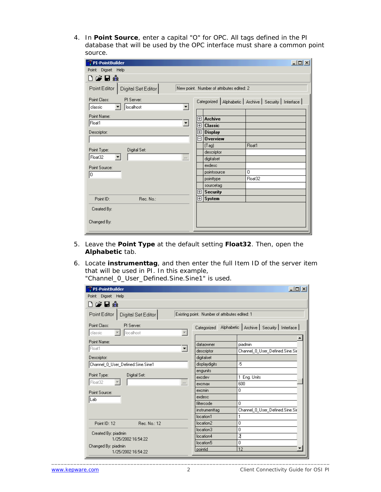4. In **Point Source**, enter a capital "O" for OPC. All tags defined in the PI database that will be used by the OPC interface must share a common point source.

| $\Box$<br><b>PI-PointBuilder</b>                                                                       |            |                                           |                                                           |  |  |  |
|--------------------------------------------------------------------------------------------------------|------------|-------------------------------------------|-----------------------------------------------------------|--|--|--|
| Point Digset Help                                                                                      |            |                                           |                                                           |  |  |  |
| ▯ಆਚ∰                                                                                                   |            |                                           |                                                           |  |  |  |
| Point Editor<br>Digital Set Editor                                                                     |            | New point. Number of attributes edited: 2 |                                                           |  |  |  |
| PI Server:<br>Point Class:<br>$\overline{\phantom{a}}$<br>localhost<br>classic<br>$\blacktriangledown$ |            |                                           | Categorized   Alphabetic   Archive   Security   Interface |  |  |  |
| Point Name:                                                                                            |            |                                           |                                                           |  |  |  |
| Float1                                                                                                 | 田          | <b>Archive</b>                            |                                                           |  |  |  |
| ᅬ                                                                                                      | 田          | <b>Classic</b>                            |                                                           |  |  |  |
| Descriptor:                                                                                            | $\boxplus$ | <b>Display</b>                            |                                                           |  |  |  |
|                                                                                                        | ΠI         | <b>Overview</b>                           |                                                           |  |  |  |
| Point Type:<br>Digital Set:                                                                            |            | (Tag)                                     | Float1                                                    |  |  |  |
| Float32<br>$\cdots$                                                                                    |            | descriptor<br>digitalset                  |                                                           |  |  |  |
|                                                                                                        |            | exdesc                                    |                                                           |  |  |  |
| Point Source:                                                                                          |            | pointsource                               | 0                                                         |  |  |  |
| ۱o                                                                                                     |            | pointtype                                 | Float32                                                   |  |  |  |
|                                                                                                        |            | sourcetag                                 |                                                           |  |  |  |
|                                                                                                        | 田          | <b>Security</b>                           |                                                           |  |  |  |
| Rec. No.:<br>Point ID:                                                                                 | 田          | System                                    |                                                           |  |  |  |
| Created By:                                                                                            |            |                                           |                                                           |  |  |  |
|                                                                                                        |            |                                           |                                                           |  |  |  |
| Changed By:                                                                                            |            |                                           |                                                           |  |  |  |
|                                                                                                        |            |                                           |                                                           |  |  |  |

- 5. Leave the **Point Type** at the default setting **Float32**. Then, open the **Alphabetic** tab.
- 6. Locate **instrumenttag**, and then enter the full Item ID of the server item that will be used in PI. In this example, "Channel 0 User Defined Sine Sine1" is

| "Channel_0_User_Defined.Sine.Sine1" is used. |  |  |  |  |  |  |
|----------------------------------------------|--|--|--|--|--|--|
|----------------------------------------------|--|--|--|--|--|--|

| PI-PointBuilder<br>그미지                             |                                                |                                                   |  |  |  |  |
|----------------------------------------------------|------------------------------------------------|---------------------------------------------------|--|--|--|--|
| Digset Help<br>Point                               |                                                |                                                   |  |  |  |  |
| ▯ಆਚଈ                                               |                                                |                                                   |  |  |  |  |
| Point Editor<br>Digital Set Editor                 | Existing point. Number of attributes edited: 1 |                                                   |  |  |  |  |
| Point Class:<br>PI Server:<br>localhost<br>classic |                                                | Categorized Alphabetic Archive Security Interface |  |  |  |  |
| Point Name:<br>Float1<br>회                         | dataowner<br>descriptor                        | piadmin<br>Channel 0 User Defined.Sine.Sir        |  |  |  |  |
| Descriptor:                                        | digitalset                                     |                                                   |  |  |  |  |
| Channel_0_User_Defined.Sine.Sine1                  | displaydigits                                  | -5                                                |  |  |  |  |
| Point Type:<br>Digital Set:                        | engunits<br>excdev                             | 1 Eng. Units                                      |  |  |  |  |
| Float32<br>$\cdots$                                | excmax                                         | 600                                               |  |  |  |  |
| Point Source:                                      | excmin                                         | 0                                                 |  |  |  |  |
| Lab                                                | exdesc                                         |                                                   |  |  |  |  |
|                                                    | filtercode                                     | 0                                                 |  |  |  |  |
|                                                    | instrumenttag                                  | Channel_0_User_Defined.Sine.Sir                   |  |  |  |  |
|                                                    | location1                                      | 1                                                 |  |  |  |  |
| Rec. No.: 12<br>Point ID: 12                       | location2                                      | 0                                                 |  |  |  |  |
| Created By: piadmin                                | location3                                      | 0                                                 |  |  |  |  |
| 1/25/2002 16:54:22                                 | location4                                      | 2                                                 |  |  |  |  |
| Changed By: piadmin                                | location5                                      | 0                                                 |  |  |  |  |
| 1/25/2002 16:54:22                                 | pointid                                        | 12                                                |  |  |  |  |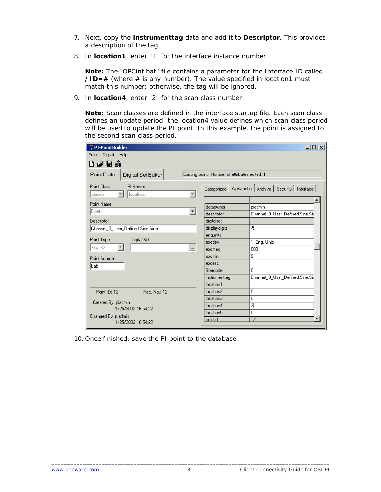- 7. Next, copy the **instrumenttag** data and add it to **Descriptor**. This provides a description of the tag.
- 8. In **location1**, enter "1" for the interface instance number.

**Note:** The "OPCint.bat" file contains a parameter for the Interface ID called  $\angle$ **ID** = # (where # is any number). The value specified in location1 must match this number; otherwise, the tag will be ignored.

9. In **location4**, enter "2" for the scan class number.

**Note:** Scan classes are defined in the interface startup file. Each scan class defines an update period: the location4 value defines which scan class period will be used to update the PI point. In this example, the point is assigned to the second scan class period.

| PI-PointBuilder                                    |                                                | $\Box$ D $ X $                                      |
|----------------------------------------------------|------------------------------------------------|-----------------------------------------------------|
| Point<br>Digset Help                               |                                                |                                                     |
| ▯ಆਚଈ                                               |                                                |                                                     |
| Point Editor  <br>Digital Set Editor               | Existing point. Number of attributes edited: 1 |                                                     |
| Point Class:<br>PI Server:<br>localhost<br>classic |                                                | Categorized Alphabetic Archive Security   Interface |
|                                                    |                                                |                                                     |
| Point Name:                                        | dataowner                                      | piadmin                                             |
| Float1<br>▼                                        | descriptor                                     | Channel_0_User_Defined.Sine.Sir                     |
| Descriptor:                                        | digitalset                                     |                                                     |
| Channel_0_User_Defined.Sine.Sine1                  | displaydigits                                  | -5                                                  |
|                                                    | engunits                                       |                                                     |
| Point Type:<br>Digital Set:                        | excdev                                         | 1 Eng. Units                                        |
| Float32<br><b>ATT</b>                              | excmax                                         | 600                                                 |
| Point Source:                                      | excmin                                         | 0                                                   |
| Lab                                                | exdesc                                         |                                                     |
|                                                    | filtercode                                     | 0                                                   |
|                                                    | instrumenttag                                  | Channel_0_User_Defined.Sine.Sir                     |
|                                                    | location1                                      | 1                                                   |
| Point ID: 12<br>Rec. No.: 12                       | location2                                      | 0                                                   |
| Created By: piadmin                                | location3                                      | 0                                                   |
| 1/25/2002 16:54:22                                 | location4                                      | 7                                                   |
| Changed By: piadmin                                | location5                                      | 0                                                   |
| 1/25/2002 16:54:22                                 | pointid                                        | 12                                                  |

10. Once finished, save the PI point to the database.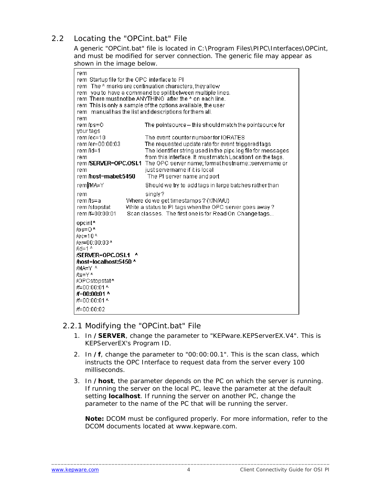#### <span id="page-5-0"></span>2.2 Locating the "OPCint.bat" File

A generic "OPCint.bat" file is located in *C:\Program Files\PIPC\Interfaces\OPCint*, and must be modified for server connection. The generic file may appear as shown in the image below.

| rem                                                     |                                                              |  |  |  |  |  |
|---------------------------------------------------------|--------------------------------------------------------------|--|--|--|--|--|
| rem Startup file for the OPC interface to PI            |                                                              |  |  |  |  |  |
| rem The A marks are continuation characters, they allow |                                                              |  |  |  |  |  |
|                                                         | rem you to have a command be split between multiple lines.   |  |  |  |  |  |
|                                                         | rem There must not be ANYTHING after the A on each line.     |  |  |  |  |  |
|                                                         | rem This is only a sample of the options available, the user |  |  |  |  |  |
|                                                         | rem manual has the list and descriptions for them all.       |  |  |  |  |  |
| rem                                                     |                                                              |  |  |  |  |  |
| rem/ps=0                                                | The pointsource -- this should match the pointsource for     |  |  |  |  |  |
| your tags                                               |                                                              |  |  |  |  |  |
| rem/ec=10                                               | The event counter number for IORATES                         |  |  |  |  |  |
| rem/er=00:00:03                                         | The requested update rate for event triggered tags           |  |  |  |  |  |
| rem /id=1                                               | The identifier string used in the pipc.log file for messages |  |  |  |  |  |
| rem.                                                    | from this interface. It must match Location1 on the tags.    |  |  |  |  |  |
| rem /SERVER=OPC.OSI.1                                   | The OPC server name; format hostname::servername or          |  |  |  |  |  |
| rem                                                     | just servername if it is local                               |  |  |  |  |  |
| rem host=mabel:5450                                     | The PI server name and port                                  |  |  |  |  |  |
| rem <i>VMA</i> =Y                                       | Should we try to add tags in large batches rather than       |  |  |  |  |  |
| rem                                                     | singly?                                                      |  |  |  |  |  |
| rem /ts=a                                               | Where do we get timestamps ? (Y/N/A/U)                       |  |  |  |  |  |
| rem/stopstat                                            | Write a status to PI tags when the OPC server goes away?     |  |  |  |  |  |
| rem /f=00:00:01                                         | Scan classes. The first one is for Read On Change tags       |  |  |  |  |  |
| opcint <sup>A</sup>                                     |                                                              |  |  |  |  |  |
| /ps=0A                                                  |                                                              |  |  |  |  |  |
| $/ec=10A$                                               |                                                              |  |  |  |  |  |
| /er=00:00:03^                                           |                                                              |  |  |  |  |  |
| $\text{fid}=1$ $\text{A}$                               |                                                              |  |  |  |  |  |
| /SERVER=OPC.OSI.1                                       |                                                              |  |  |  |  |  |
| host=localhost:5450 ^                                   |                                                              |  |  |  |  |  |
| /MA=Y ^                                                 |                                                              |  |  |  |  |  |
| /ts=YA                                                  |                                                              |  |  |  |  |  |
| /OPCstopstat^                                           |                                                              |  |  |  |  |  |
| /f=00:00:01 ^                                           |                                                              |  |  |  |  |  |
| /f=00:00:01 ^                                           |                                                              |  |  |  |  |  |
| /f=00:00:01 ^                                           |                                                              |  |  |  |  |  |
| /f=00:00:02                                             |                                                              |  |  |  |  |  |

#### 2.2.1 Modifying the "OPCint.bat" File

- 1. In **/SERVER**, change the parameter to "KEPware.KEPServerEX.V4". This is KEPServerEX's Program ID.
- 2. In **/f**, change the parameter to "00:00:00.1". This is the scan class, which instructs the OPC Interface to request data from the server every 100 milliseconds.
- 3. In **/host**, the parameter depends on the PC on which the server is running. If running the server on the local PC, leave the parameter at the default setting **localhost**. If running the server on another PC, change the parameter to the name of the PC that will be running the server.

**Note:** DCOM must be configured properly. For more information, refer to the DCOM documents located at www.kepware.com.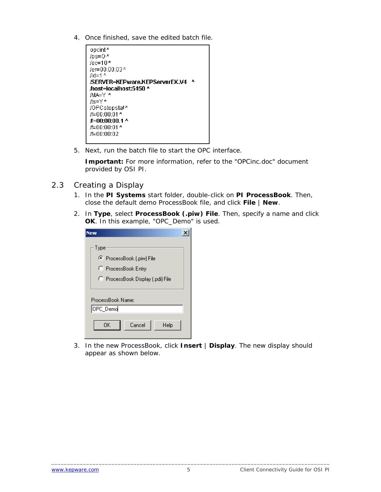- <span id="page-6-0"></span>4. Once finished, save the edited batch file.
	- opcint<sup>A</sup>  $\text{ln} = 0^{\text{A}}$  $/ec=10<sup>A</sup>$ /er=00:00:03^ id=1 $^{\circ}$ /SERVER=KEPware.KEPServerEX.V4 ^ host=localhost:5450 ^ /MA=Y ^ /ts=YA /OPCstopstat^ /f=00:00:01 ^ #=00:00:00.1 ^ /f=00:00:01 ^ /f=00:00:02
- 5. Next, run the batch file to start the OPC interface.

**Important:** For more information, refer to the "OPCinc.doc" document provided by OSI PI.

- 2.3 Creating a Display
	- 1. In the **PI Systems** start folder, double-click on **PI ProcessBook**. Then, close the default demo ProcessBook file, and click **File** | **New**.
	- 2. In **Type**, select **ProcessBook (.piw) File**. Then, specify a name and click **OK**. In this example, "OPC\_Demo" is used.

| Type                              |  |  |  |  |
|-----------------------------------|--|--|--|--|
| ● ProcessBook (.piw) File         |  |  |  |  |
| C ProcessBook Entry               |  |  |  |  |
| C ProcessBook Display (.pdi) File |  |  |  |  |
| ProcessBook Name:                 |  |  |  |  |
| OPC_Demo                          |  |  |  |  |
| Cancel<br>ΩK<br>Help              |  |  |  |  |

3. In the new ProcessBook, click **Insert** | **Display**. The new display should appear as shown below.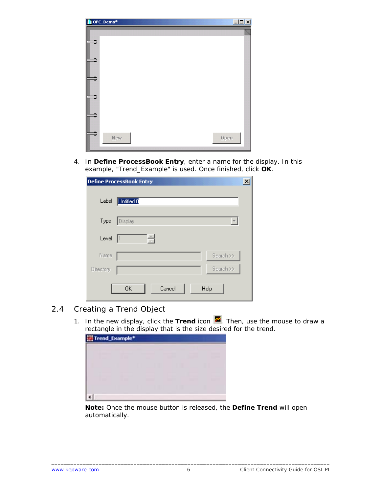<span id="page-7-0"></span>

| OPC_Demo* | $\Box$  |
|-----------|---------|
|           |         |
|           |         |
|           |         |
|           |         |
|           |         |
|           |         |
|           |         |
|           |         |
|           |         |
|           |         |
|           |         |
|           |         |
| New       | $Q$ pen |
|           |         |

4. In **Define ProcessBook Entry**, enter a name for the display. In this example, "Trend\_Example" is used. Once finished, click **OK**.

|           | <b>Define ProcessBook Entry</b><br>× |  |
|-----------|--------------------------------------|--|
| Label     | <b>Untitled 0</b>                    |  |
| Type      | Display                              |  |
| Level     | 츾                                    |  |
| Name      | Search >>                            |  |
| Directory | Search >>                            |  |
|           | 0K<br>Cancel<br>Help                 |  |

#### 2.4 Creating a Trend Object

1. In the new display, click the Trend icon  $\blacksquare$ . Then, use the mouse to draw a rectangle in the display that is the size desired for the trend.

| Trend_Example*<br><b>Contract Contract Contract Contract</b><br>_________ |                                            |                                                                                                                                                                                                                                                                                                                                                                                                  | ______<br>________                                                                                                                                                                                                                                                                          |
|---------------------------------------------------------------------------|--------------------------------------------|--------------------------------------------------------------------------------------------------------------------------------------------------------------------------------------------------------------------------------------------------------------------------------------------------------------------------------------------------------------------------------------------------|---------------------------------------------------------------------------------------------------------------------------------------------------------------------------------------------------------------------------------------------------------------------------------------------|
|                                                                           | <u> Linda a Carl III a Chuid ann an t-</u> | <b>Contract Contract Contract Contract Contract Contract Contract Contract Contract Contract Contract Contract Co</b><br>and the contract of the contract of<br>_______<br><u> La Carlo de la Carlo de la Carlo de la Carlo de la Carlo de la Carlo de la Carlo de la Carlo de la Carlo de la </u><br><u> London and Communications</u><br><u> San Angeles (San Angeles III) en de San Angel</u> | <u> Linda a Carl III a chun ann an t-</u><br>______<br><b>Service Contract Contract Contract Contract Contract Contract Contract Contract Contract Contract Contract Contract Contract Contract Contract Contract Contract Contract Contract Contract Contract Contract Contract Contra</b> |
|                                                                           | _____                                      | <b>STATE AND PROPERTY AND IN</b><br>_____<br>______<br><b>Contract Contract Contract</b>                                                                                                                                                                                                                                                                                                         |                                                                                                                                                                                                                                                                                             |

**Note:** Once the mouse button is released, the **Define Trend** will open automatically.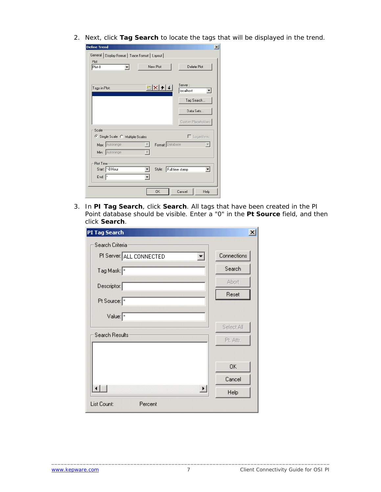2. Next, click **Tag Search** to locate the tags that will be displayed in the trend.

| <b>Define Trend</b>                                         |                  | $\vert x \vert$      |
|-------------------------------------------------------------|------------------|----------------------|
| Display Format   Trace Format   Layout  <br>General<br>Plot |                  |                      |
| Plot-0                                                      | New Plot         | Delete Plot          |
|                                                             |                  |                      |
| Tags in Plot:                                               | ∐D X + +         | Server:<br>localhost |
|                                                             |                  | Tag Search           |
|                                                             |                  | Data Sets            |
|                                                             |                  | Custom Placeholders  |
| Scale                                                       |                  |                      |
| ● Single Scale ● Multiple Scales                            |                  | $\Gamma$ Logarithmic |
| Max: Autorange                                              | Format: Database |                      |
| Min: Autorange                                              |                  |                      |
| Plot Time:                                                  |                  |                      |
| Start: 8 Hour                                               | Style:           | Full time stamp<br>▼ |
| End: $\vert$ <sup>*</sup>                                   |                  |                      |
|                                                             | <b>OK</b>        | Cancel<br>Help       |

3. In **PI Tag Search**, click **Search**. All tags that have been created in the PI Point database should be visible. Enter a "0" in the **Pt Source** field, and then click **Search**.

| PI Tag Search               | $\vert x \vert$ |
|-----------------------------|-----------------|
| Search Criteria             |                 |
| PI Server: ALL CONNECTED    | Connections     |
| Tag Mask:                   | Search          |
| Descriptor:                 | <b>Abort</b>    |
| Pt Source: *                | Reset           |
|                             |                 |
| Value: $\sqrt{\frac{x}{n}}$ |                 |
| Search Results              | Select All      |
|                             | Pt. Attr.       |
|                             |                 |
|                             | 0K              |
|                             | Cancel          |
| $\blacktriangleright$       | Help            |
| List Count:<br>Percent      |                 |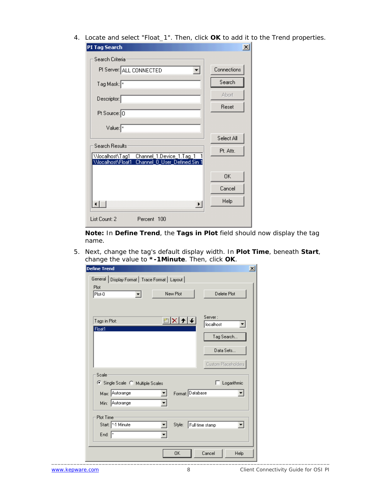4. Locate and select "Float\_1". Then, click **OK** to add it to the Trend properties.

| <b>PI Tag Search</b>                                                                                       | $\times$     |
|------------------------------------------------------------------------------------------------------------|--------------|
| Search Criteria                                                                                            |              |
| PI Server: ALL CONNECTED<br>▼                                                                              | Connections  |
| Tag Mask:                                                                                                  | Search       |
| Descriptor:                                                                                                | <b>Abort</b> |
| Pt Source: 0                                                                                               | Reset        |
| Value:                                                                                                     |              |
|                                                                                                            | Select All   |
| <b>Search Results</b>                                                                                      | Pt. Attr.    |
| \\localhost\Tag1<br>Channel_1.Device_1.Tag_1<br>0 User_Defined.Sin 1<br>Channel<br><b>WocalhostVFloat1</b> |              |
|                                                                                                            | <b>OK</b>    |
|                                                                                                            | Cancel       |
|                                                                                                            | Help         |
| List Count: 2<br>Percent 100                                                                               |              |

**Note:** In **Define Trend**, the **Tags in Plot** field should now display the tag name.

5. Next, change the tag's default display width. In **Plot Time**, beneath **Start**, change the value to **\*-1Minute**. Then, click **OK**.

| <b>Define Trend</b>                                                                             | $\vert x \vert$                                                         |
|-------------------------------------------------------------------------------------------------|-------------------------------------------------------------------------|
| General   Display Format   Trace Format   Layout  <br>Plot<br>New Plot<br>Plot-0<br>▾           | Delete Plot                                                             |
| MX++<br>Tags in Plot:<br>Float1                                                                 | Server:<br>localhost<br>$\blacktriangledown$<br>Tag Search<br>Data Sets |
| Scale                                                                                           | Custom Placeholders                                                     |
| ● Single Scale ● Multiple Scales<br>Format: Database<br>Max: Autorange<br>Min: Autorange<br>▼   | $\Box$ Logarithmic<br>▼                                                 |
| Plot Time<br>Start: 1 Minute<br>Style:<br>End: $\sqrt{\frac{2}{n}}$<br>$\overline{\phantom{a}}$ | न<br>Full time stamp                                                    |
| 0K                                                                                              | Help<br>Cancel                                                          |